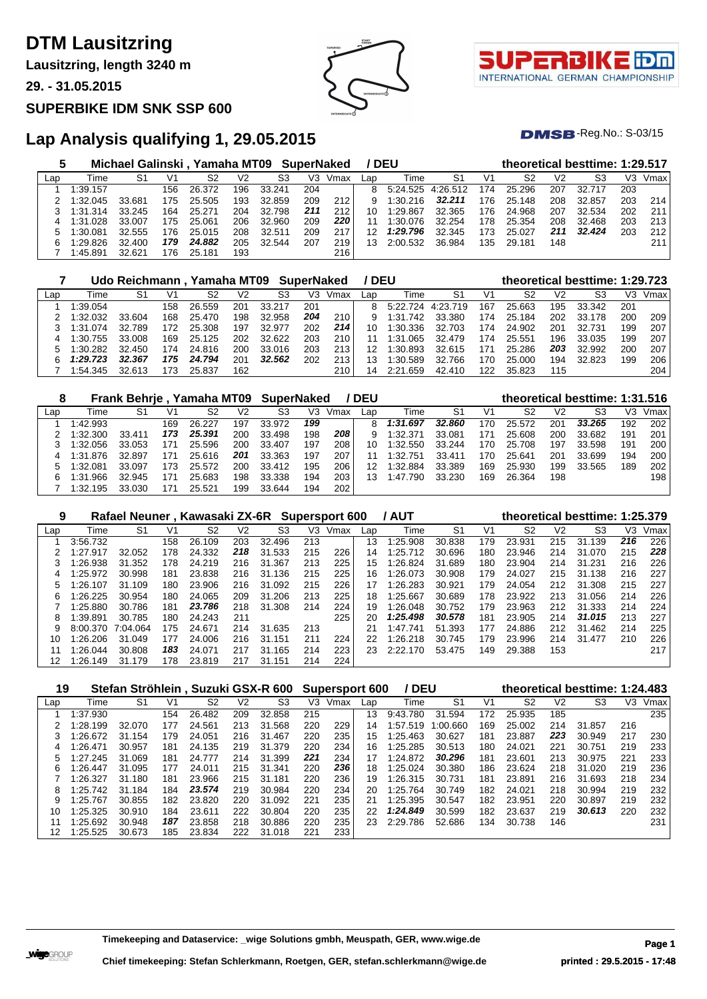# **DTM Lausitzring**

**Lausitzring, length 3240 m**

**29. - 31.05.2015**

#### **SUPERBIKE IDM SNK SSP 600**



τl INTERNATIONAL GERMAN CHAMPIONSHIP

 $DMSB$ -Reg.No.:  $S-03/15$ 

## **Lap Analysis qualifying 1, 29.05.2015**

| b   |          | Michael Galinski, Yamaha MT09 SuperNaked |     |        |     |        |     |      |     | / DEU             |        |     |        |     | theoretical besttime: 1:29.517 |     |      |
|-----|----------|------------------------------------------|-----|--------|-----|--------|-----|------|-----|-------------------|--------|-----|--------|-----|--------------------------------|-----|------|
| Lap | Time     | S1                                       | V1  | S2     | V2  | S3     | V3. | Vmax | Lap | Time              | S1     | V1  | S2     | V2  | S3                             | V3  | Vmax |
|     | 1:39.157 |                                          | 156 | 26.372 | 196 | 33.241 | 204 |      | 8   | 5:24.525 4:26.512 |        | 174 | 25.296 | 207 | 32.717                         | 203 |      |
|     | 1:32.045 | 33.681                                   | 175 | 25.505 | 193 | 32.859 | 209 | 212  |     | 1:30.216          | 32.211 | 176 | 25.148 | 208 | 32.857                         | 203 | 214  |
|     | 1:31.314 | 33.245                                   | 164 | 25.271 | 204 | 32.798 | 211 | 212  | 10  | 1:29.867          | 32.365 | 176 | 24.968 | 207 | 32.534                         | 202 | 211  |
|     | 1:31.028 | 33.007                                   | 175 | 25.061 | 206 | 32.960 | 209 | 220  | 11  | 1:30.076          | 32.254 | 178 | 25.354 | 208 | 32.468                         | 203 | 213  |
|     | 1:30.081 | 32.555                                   | 176 | 25.015 | 208 | 32.511 | 209 | 217  | 12  | 1:29.796          | 32.345 | 173 | 25.027 | 211 | 32.424                         | 203 | 212  |
| հ   | 1:29.826 | 32.400                                   | 179 | 24.882 | 205 | 32.544 | 207 | 219  | 13  | 2:00.532          | 36.984 | 135 | 29.181 | 148 |                                |     | 211  |
|     | 1:45.891 | 32.621                                   | 176 | 25.181 | 193 |        |     | 216  |     |                   |        |     |        |     |                                |     |      |

|     |          | Udo Reichmann, Yamaha MT09 SuperNaked |     |        |     |        |     |      |     | <b>DEU</b>        |        |     |        |     | theoretical besttime: 1:29.723 |     |      |
|-----|----------|---------------------------------------|-----|--------|-----|--------|-----|------|-----|-------------------|--------|-----|--------|-----|--------------------------------|-----|------|
| Lap | Time     | S1                                    | V1  | S2     | V2  | S3     | V3  | Vmax | Lap | Time              | S1     | V1  | S2     | V2  | S3                             | VЗ  | Vmax |
|     | 1:39.054 |                                       | 158 | 26.559 | 201 | 33.217 | 201 |      | 8   | 5.22.724 4.23.719 |        | 167 | 25.663 | 195 | 33.342                         | 201 |      |
|     | 1:32.032 | 33.604                                | 168 | 25.470 | 198 | 32.958 | 204 | 210  |     | 1:31.742          | 33.380 | 174 | 25.184 | 202 | 33.178                         | 200 | 209  |
|     | 1:31.074 | 32.789                                | 172 | 25.308 | 197 | 32.977 | 202 | 214  | 10  | 1:30.336          | 32.703 | 174 | 24.902 | 201 | 32.731                         | 199 | 207  |
| 4   | 1:30.755 | 33.008                                | 169 | 25.125 | 202 | 32.622 | 203 | 210  |     | 1:31.065          | 32.479 | 174 | 25.551 | 196 | 33.035                         | 199 | 207  |
|     | 1:30.282 | 32.450                                | 174 | 24.816 | 200 | 33.016 | 203 | 213  |     | 1:30.893          | 32.615 | 171 | 25.286 | 203 | 32.992                         | 200 | 207  |
| ี   | 1:29.723 | 32.367                                | 175 | 24.794 | 201 | 32.562 | 202 | 213  |     | 1:30.589          | 32.766 | 170 | 25.000 | 194 | 32.823                         | 199 | 206  |
|     | 1:54.345 | 32.613                                |     | 25.837 | 162 |        |     | 210  | 14  | 2:21.659          | 42.410 | 122 | 35.823 | 115 |                                |     | 204  |

| 8   |          |        |                | Frank Behrje, Yamaha MT09 |     | SuperNaked |     |      | <b>DEU</b> |               |        |     |        |                | theoretical besttime: 1:31.516 |     |      |
|-----|----------|--------|----------------|---------------------------|-----|------------|-----|------|------------|---------------|--------|-----|--------|----------------|--------------------------------|-----|------|
| Lap | Time     | S1     | V <sub>1</sub> | S2                        | V2  | S3         | V3  | Vmax | Lap        | Time          | S1     | V1  | S2     | V <sub>2</sub> | S3                             | V3  | Vmax |
|     | 1:42.993 |        | 169            | 26.227                    | 197 | 33.972     | 199 |      | 8          | 1:31.697      | 32.860 | 170 | 25.572 | 201            | 33.265                         | 192 | 202  |
|     | 1:32.300 | 33.411 | 173            | 25.391                    | 200 | 33.498     | 198 | 208  |            | 1:32.371      | 33.081 | 171 | 25.608 | 200            | 33.682                         | 191 | 201  |
|     | 1:32.056 | 33.053 | 171            | 25.596                    | 200 | 33.407     | 197 | 208  | 10         | 1:32.550      | 33.244 | 170 | 25.708 | 197            | 33.598                         | 191 | 200  |
| 4   | 1:31.876 | 32.897 | 171            | 25.616                    | 201 | 33.363     | 197 | 207  |            | 1:32.751      | 33.411 | 170 | 25.641 | 201            | 33.699                         | 194 | 200  |
|     | 1:32.081 | 33.097 | 173            | 25.572                    | 200 | 33.412     | 195 | 206  | 12         | 1:32.884      | 33.389 | 169 | 25.930 | 199            | 33.565                         | 189 | 202  |
|     | 1:31.966 | 32.945 | 171            | 25.683                    | 198 | 33.338     | 194 | 203  | 13         | .790<br>1.47. | 33.230 | 169 | 26.364 | 198            |                                |     | 198  |
|     | 1:32.195 | 33.030 |                | 25.521                    | 199 | 33.644     | 194 | 202  |            |               |        |     |        |                |                                |     |      |

| 9   |          | Rafael Neuner, Kawasaki ZX-6R Supersport 600 |      |        |     |             |     |      |     | <b>/ AUT</b> |        |                |                |                | theoretical besttime: 1:25.379 |     |      |
|-----|----------|----------------------------------------------|------|--------|-----|-------------|-----|------|-----|--------------|--------|----------------|----------------|----------------|--------------------------------|-----|------|
| Lap | Time     | S1                                           | V1   | S2     | V2  | S3          | VЗ  | Vmax | Lap | Time         | S1     | V <sub>1</sub> | S <sub>2</sub> | V <sub>2</sub> | S3                             | V3  | Vmax |
|     | 3:56.732 |                                              | 158  | 26.109 | 203 | 32.496      | 213 |      | 13  | 1:25.908     | 30.838 | 179            | 23.931         | 215            | 31<br>.139                     | 216 | 226  |
|     | 1:27.917 | 32.052                                       | 178  | 24.332 | 218 | 31.533      | 215 | 226  | 14  | 1:25.712     | 30.696 | 180            | 23.946         | 214            | 31.070                         | 215 | 228  |
|     | 1:26.938 | 31.352                                       | 178  | 24.219 | 216 | 31.367      | 213 | 225  | 15  | 1:26.824     | 31.689 | 180            | 23.904         | 214            | 31.231                         | 216 | 226  |
| 4   | 1:25.972 | 30.998                                       | 181  | 23.838 | 216 | 31.136      | 215 | 225  | 16  | 1:26.073     | 30.908 | 179            | 24.027         | 215            | 31.138                         | 216 | 227  |
| 5.  | 1:26.107 | 31.109                                       | 180  | 23.906 | 216 | 31.092      | 215 | 226  | 17  | 1:26.283     | 30.921 | 179            | 24.054         | 212            | 31.308                         | 215 | 227  |
| 6   | 1:26.225 | 30.954                                       | 180  | 24.065 | 209 | 31.206      | 213 | 225  | 18  | 1:25.667     | 30.689 | 178            | 23.922         | 213            | 31.056                         | 214 | 226  |
|     | 1:25.880 | 30.786                                       | 181  | 23.786 | 218 | 31.308      | 214 | 224  | 19  | 1:26.048     | 30.752 | 179            | 23.963         | 212            | 31.333                         | 214 | 224  |
| 8   | 1:39.891 | 30.785                                       | 180. | 24.243 | 211 |             |     | 225  | 20  | 1:25.498     | 30.578 | 181            | 23.905         | 214            | 31.015                         | 213 | 227  |
|     | 8:00.370 | 7:04.064                                     | 175  | 24.671 | 214 | 31<br>.635  | 213 |      | 21  | 1:47.741     | 51.393 | 177            | 24.886         | 212            | 31.462                         | 214 | 225  |
| 10  | 1:26.206 | 31.049                                       | 177  | 24,006 | 216 | 31.151      | 211 | 224  | 22  | 1:26.218     | 30.745 | 179            | 23.996         | 214            | 31.477                         | 210 | 226  |
| 11  | 1:26.044 | 30.808                                       | 183  | 24.071 | 217 | 31.165      | 214 | 223  | 23  | 2:22.170     | 53.475 | 149            | 29.388         | 153            |                                |     | 217  |
| 12  | 1:26.149 | 31.179                                       | 178  | 23.819 | 217 | .151<br>31. | 214 | 224  |     |              |        |                |                |                |                                |     |      |

| 19  |          |        |                |        |     | Stefan Ströhlein, Suzuki GSX-R 600 |     | <b>Supersport 600</b> |     | / DEU    |                |     |                |                | theoretical besttime: 1:24.483 |     |      |
|-----|----------|--------|----------------|--------|-----|------------------------------------|-----|-----------------------|-----|----------|----------------|-----|----------------|----------------|--------------------------------|-----|------|
| Lap | Time     | S1     | V <sub>1</sub> | S2     | V2  | S <sub>3</sub>                     | V3  | Vmax                  | Lap | Time     | S <sub>1</sub> | V1  | S <sub>2</sub> | V <sub>2</sub> | S3                             | V3  | Vmax |
|     | 1:37.930 |        | 154            | 26.482 | 209 | 32.858                             | 215 |                       | 13  | 9:43.780 | 31.594         | 172 | 25.935         | 185            |                                |     | 235  |
|     | 1:28.199 | 32.070 | 177            | 24.561 | 213 | 31.568                             | 220 | 229                   | 14  | 1:57.519 | 00.660         | 169 | 25.002         | 214            | 31.857                         | 216 |      |
| 3   | 1:26.672 | 31.154 | 179            | 24.051 | 216 | 31.467                             | 220 | 235                   | 15  | 1:25.463 | 30.627         | 181 | 23.887         | 223            | 30.949                         | 217 | 230  |
| 4   | :26.471  | 30.957 | 181            | 24.135 | 219 | 31.379                             | 220 | 234                   | 16  | 1:25.285 | 30.513         | 180 | 24.021         | 221            | 30.751                         | 219 | 233  |
| 5   | 1:27.245 | 31.069 | 181            | 24,777 | 214 | 31.399                             | 221 | 234                   | 17  | 1:24.872 | 30.296         | 181 | 23.601         | 213            | 30.975                         | 221 | 233  |
| 6   | 1:26.447 | 31.095 | 177            | 24.011 | 215 | 31.341                             | 220 | 236                   | 18  | 1:25.024 | 30.380         | 186 | 23.624         | 218            | 31.020                         | 219 | 236  |
|     | 1:26.327 | 31.180 | 181            | 23.966 | 215 | 31.181                             | 220 | 236                   | 19  | 1:26.315 | 30.731         | 181 | 23.891         | 216            | 31.693                         | 218 | 234  |
| 8   | 1:25.742 | 31.184 | 184            | 23.574 | 219 | 30.984                             | 220 | 234                   | 20  | 1:25.764 | 30.749         | 182 | 24.021         | 218            | 30.994                         | 219 | 232  |
| 9   | 1:25.767 | 30.855 | 182            | 23.820 | 220 | 31.092                             | 221 | 235                   | 21  | 1:25.395 | 30.547         | 182 | 23.951         | 220            | 30.897                         | 219 | 232  |
| 10  | 1:25.325 | 30.910 | 184            | 23.611 | 222 | 30.804                             | 220 | 235                   | 22  | 1:24.849 | 30.599         | 182 | 23.637         | 219            | 30.613                         | 220 | 232  |
| 11  | 1:25.692 | 30.948 | 187            | 23.858 | 218 | 30.886                             | 220 | 235                   | 23  | 2:29.786 | 52.686         | 134 | 30.738         | 146            |                                |     | 231  |
| 12  | 1:25.525 | 30.673 | 185            | 23.834 | 222 | 31.018                             | 221 | 233                   |     |          |                |     |                |                |                                |     |      |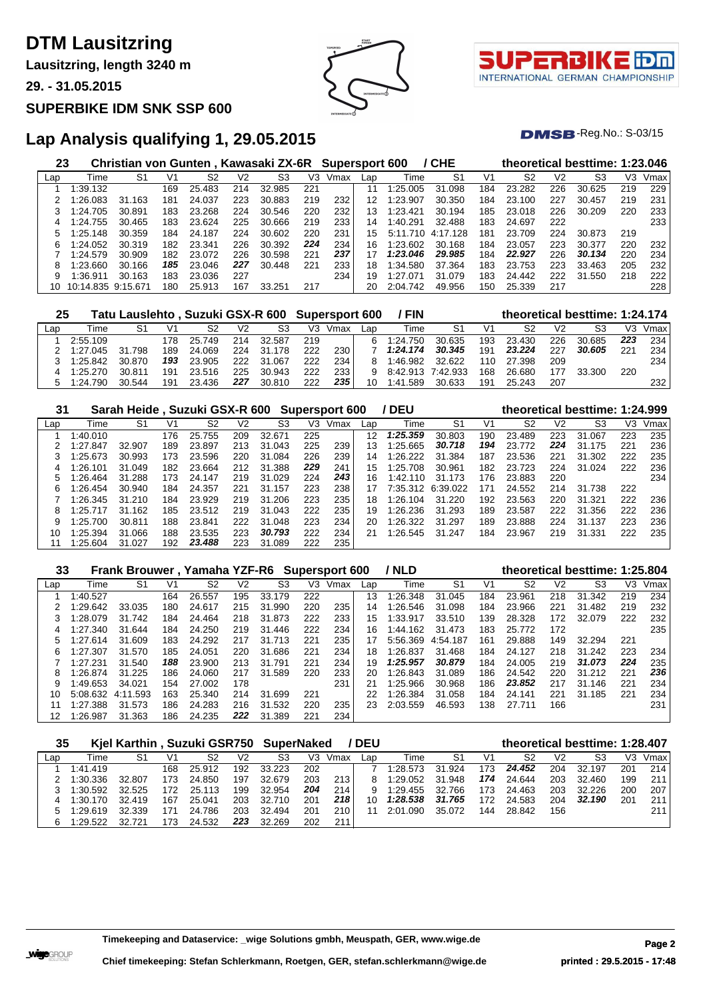# **DTM Lausitzring**

**Lausitzring, length 3240 m**

**29. - 31.05.2015**

#### **SUPERBIKE IDM SNK SSP 600**



τl INTERNATIONAL GERMAN CHAMPIONSHIP

 $DMSB$ -Reg.No.:  $S-03/15$ 

## **Lap Analysis qualifying 1, 29.05.2015**

| 23  |                    | Christian von Gunten, Kawasaki ZX-6R |     |        |                |        |     | <b>Supersport 600</b> |     |              | / CHE    |                |        |                | theoretical besttime: 1:23.046 |     |      |
|-----|--------------------|--------------------------------------|-----|--------|----------------|--------|-----|-----------------------|-----|--------------|----------|----------------|--------|----------------|--------------------------------|-----|------|
| Lap | Time               | S1                                   | V1  | S2     | V <sub>2</sub> | S3     | V3  | Vmax                  | Lap | Time         | S1       | V <sub>1</sub> | S2     | V <sub>2</sub> | S3                             | VЗ  | Vmax |
|     | 1:39.132           |                                      | 169 | 25.483 | 214            | 32.985 | 221 |                       | 11  | 1:25.005     | 31.098   | 184            | 23.282 | 226            | 30.625                         | 219 | 229  |
|     | l:26.083           | 31.<br>.163                          | 181 | 24.037 | 223            | 30.883 | 219 | 232                   | 12  | 1:23.907     | 30.350   | 184            | 23.100 | 227            | 30.457                         | 219 | 231  |
|     | 1:24.705           | 30.891                               | 183 | 23.268 | 224            | 30.546 | 220 | 232                   | 13  | 1:23.421     | 30.194   | 185            | 23.018 | 226            | 30.209                         | 220 | 233  |
| 4   | 1:24.755           | 30.465                               | 183 | 23.624 | 225            | 30.666 | 219 | 233                   | 14  | 1:40.291     | 32.488   | 183            | 24.697 | 222            |                                |     | 233  |
| 5.  | 1:25.148           | 30.359                               | 184 | 24.187 | 224            | 30.602 | 220 | 231                   | 15  | 5:11.710     | 4:17.128 | 181            | 23.709 | 224            | 30.873                         | 219 |      |
| 6   | 1:24.052           | 30.319                               | 182 | 23.341 | 226            | 30.392 | 224 | 234                   | 16  | 1:23.602     | 30.168   | 184            | 23.057 | 223            | 30.377                         | 220 | 232  |
|     | 1:24.579           | 30.909                               | 182 | 23.072 | 226            | 30.598 | 221 | 237                   |     | 1:23.046     | 29.985   | 184            | 22.927 | 226            | 30.134                         | 220 | 234  |
| 8   | 1:23.660           | 30.166                               | 185 | 23.046 | 227            | 30.448 | 221 | 233                   | 18  | 1:34.580     | 37.364   | 183            | 23.753 | 223            | 33.463                         | 205 | 232  |
| 9   | :36.911            | 163<br>30.                           | 183 | 23.036 | 227            |        |     | 234                   | 19  | 27: ا<br>በ71 | 31.079   | 183            | 24.442 | 222            | 31.550                         | 218 | 222  |
| 10  | 10:14.835 9:15.671 |                                      | 18C | 25.913 | 167            | 33.251 | 217 |                       | 20  | 2:04.742     | 49.956   | 150            | 25.339 | 217            |                                |     | 228  |

| 25  |          | Tatu Lauslehto, Suzuki GSX-R 600 Supersport 600 |     |        |      |             |     |      |     | <b>FIN</b> |          |                | theoretical besttime: 1:24.174 |                |        |     |      |
|-----|----------|-------------------------------------------------|-----|--------|------|-------------|-----|------|-----|------------|----------|----------------|--------------------------------|----------------|--------|-----|------|
| Lac | Time     | S1                                              | V1  | S2     | V2   | S3          | V3  | Vmax | Lan | Гіmе       | S1       | V <sub>1</sub> | S2                             | V <sub>2</sub> | S3     | V3  | Vmax |
|     | 2:55.109 |                                                 | 178 | 25.749 | 214  | 32.587      | 219 |      | 6   | 1:24.750   | 30.635   | 193            | 23.430                         | 226            | 30.685 | 223 | 234  |
|     | 1:27.045 | 31.798                                          | 189 | 24.069 | 224  | 31.<br>.178 | 222 | 230  |     | 1:24.174   | 30.345   | 191            | 23.224                         | 227            | 30.605 | 221 | 234  |
|     | 1:25.842 | 30.870                                          | 193 | 23.905 | 222. | 31.067      | 222 | 234  |     | 1:46.982   | 32.622   | 110            | 27.398                         | 209            |        |     | 234  |
| 4   | 1:25.270 | 30.811                                          | 191 | 23.516 | 225  | 30.943      | 222 | 233  | g   | 8.42.913   | 7:42.933 | 168            | 26.680                         | 177            | 33.300 | 220 |      |
| 5   | 1:24.790 | 30.544                                          | 191 | 23.436 | 227  | 30.810      | 222 | 235  | 10  | 1:41.589   | 30.633   | 191            | 25.243                         | 207            |        |     | 232  |

| 31  |          | Sarah Heide, Suzuki GSX-R 600 Supersport 600 |     |        |     |             |     |      |     | / DEU    |          |     |        |                | theoretical besttime: 1:24.999 |     |      |
|-----|----------|----------------------------------------------|-----|--------|-----|-------------|-----|------|-----|----------|----------|-----|--------|----------------|--------------------------------|-----|------|
| Lap | Time     | S1                                           | V1  | S2     | V2  | S3          | V3  | Vmax | Lap | Time     | S1       | V1  | S2     | V <sub>2</sub> | S3                             | V3  | Vmax |
|     | 1:40.010 |                                              | 176 | 25.755 | 209 | 32.671      | 225 |      | 12  | 1:25.359 | 30.803   | 190 | 23.489 | 223            | 31.067                         | 223 | 235  |
|     | 1:27.847 | 32.907                                       | 189 | 23.897 | 213 | 31.043      | 225 | 239  | 13  | 1:25.665 | 30.718   | 194 | 23.772 | 224            | 31.175                         | 221 | 236  |
|     | 1:25.673 | 30.993                                       | 173 | 23.596 | 220 | 31.084      | 226 | 239  | 14  | 1:26.222 | 31.384   | 187 | 23.536 | 221            | 31.302                         | 222 | 235  |
| 4   | 1:26.101 | 31.049                                       | 182 | 23.664 | 212 | 31.388      | 229 | 241  | 15  | 1:25.708 | 30.961   | 182 | 23.723 | 224            | 31.024                         | 222 | 236  |
|     | 1:26.464 | 31.288                                       | 173 | 24.147 | 219 | 31.029      | 224 | 243  | 16  | 1:42.110 | 31.173   | 176 | 23.883 | 220            |                                |     | 234  |
| 6   | 1:26.454 | 30.940                                       | 184 | 24.357 | 221 | 31.<br>.157 | 223 | 238  | 17  | 7:35.312 | 6:39.022 | 171 | 24.552 | 214            | 31.738                         | 222 |      |
|     | 1:26.345 | 31.210                                       | 184 | 23.929 | 219 | 31.206      | 223 | 235  | 18  | 1:26.104 | 31.220   | 192 | 23.563 | 220            | 31.321                         | 222 | 236  |
| 8   | 1:25.717 | 31.162                                       | 185 | 23.512 | 219 | 31.043      | 222 | 235  | 19  | 1:26.236 | 31.293   | 189 | 23.587 | 222            | 31.356                         | 222 | 236  |
|     | 1:25.700 | 30.811                                       | 188 | 23.841 | 222 | 31.048      | 223 | 234  | 20  | 1:26.322 | 31.297   | 189 | 23.888 | 224            | 31.137                         | 223 | 236  |
| 10  | 1:25.394 | 31.066                                       | 188 | 23.535 | 223 | 30.793      | 222 | 234  | 21  | :26.545  | 31.247   | 184 | 23.967 | 219            | 31.331                         | 222 | 235  |
|     | 1:25.604 | 31.027                                       | 192 | 23.488 | 223 | .089<br>31  | 222 | 235  |     |          |          |     |        |                |                                |     |      |

| 33  |          | Frank Brouwer, Yamaha YZF-R6 |                |        |     |                |     | Supersport 600 |     | / NLD    |                |     |                |                | theoretical besttime: 1:25.804 |     |      |
|-----|----------|------------------------------|----------------|--------|-----|----------------|-----|----------------|-----|----------|----------------|-----|----------------|----------------|--------------------------------|-----|------|
| Lap | Time     | S <sub>1</sub>               | V <sub>1</sub> | S2     | V2  | S <sub>3</sub> | VЗ  | Vmax           | Lap | Time     | S <sub>1</sub> | V1  | S <sub>2</sub> | V <sub>2</sub> | S3                             | V3  | Vmax |
|     | 1:40.527 |                              | 164            | 26.557 | 195 | 33.179         | 222 |                | 13  | 1:26.348 | 31.045         | 184 | 23.961         | 218            | 31.342                         | 219 | 234  |
|     | :29.642  | 33.035                       | 180            | 24.617 | 215 | 31.990         | 220 | 235            | 14  | 1:26.546 | 31.098         | 184 | 23.966         | 221            | 31.482                         | 219 | 232  |
| 3   | 1:28.079 | 31.742                       | 184            | 24.464 | 218 | 31.873         | 222 | 233            | 15  | 1:33.917 | 33.510         | 139 | 28.328         | 172            | 32.079                         | 222 | 232  |
| 4   | 1:27.340 | 31.644                       | 184            | 24.250 | 219 | 31.446         | 222 | 234            | 16  | 1:44.162 | 31.473         | 183 | 25.772         | 172            |                                |     | 235  |
| 5   | 1:27.614 | 31.609                       | 183            | 24.292 | 217 | 31.713         | 221 | 235            | 17  | 5:56.369 | 4:54.187       | 161 | 29.888         | 149            | 32.294                         | 221 |      |
| 6   | 1:27.307 | 31.570                       | 185            | 24.051 | 220 | 31.686         | 221 | 234            | 18  | 1:26.837 | 31.468         | 184 | 24.127         | 218            | 31.242                         | 223 | 234  |
|     | 1:27.231 | 31.540                       | 188            | 23.900 | 213 | 31.791         | 221 | 234            | 19  | 1:25.957 | 30.879         | 184 | 24.005         | 219            | 31.073                         | 224 | 235  |
| 8   | 1:26.874 | 31.225                       | 186            | 24.060 | 217 | 31.589         | 220 | 233            | 20  | 1:26.843 | 31.089         | 186 | 24.542         | 220            | 31.212                         | 221 | 236  |
| 9   | 1:49.653 | 34.021                       | 154            | 27.002 | 178 |                |     | 231            | 21  | 1:25.966 | 30.968         | 186 | 23.852         | 217            | 31.146                         | 221 | 234  |
| 10  | 5:08.632 | 4:11.593                     | 163            | 25.340 | 214 | 31.699         | 221 |                | 22  | 1:26.384 | 31.058         | 184 | 24.141         | 221            | 31.185                         | 221 | 234  |
| 11  | 1:27.388 | 31.573                       | 186            | 24.283 | 216 | 31.532         | 220 | 235            | 23  | 2:03.559 | 46.593         | 138 | 27.711         | 166            |                                |     | 231  |
| 12  | 1:26.987 | 31.363                       | 186            | 24.235 | 222 | .389<br>31     | 221 | 234            |     |          |                |     |                |                |                                |     |      |

| 35  |          | Kjel Karthin, Suzuki GSR750 SuperNaked |     |        |     |        |     |      | <b>/DEU</b> |          |        |     |        |                | theoretical besttime: 1:28.407 |     |      |
|-----|----------|----------------------------------------|-----|--------|-----|--------|-----|------|-------------|----------|--------|-----|--------|----------------|--------------------------------|-----|------|
| Lap | Time     | S1                                     | V1  | S2     | V2  | S3     | V3  | Vmax | Lan         | Time     | S1     | V1  | S2     | V <sub>2</sub> | S3                             | V3  | Vmax |
|     | 1:41.419 |                                        | 168 | 25.912 | 192 | 33.223 | 202 |      |             | 1:28.573 | 31.924 | 173 | 24.452 | 204            | 32.197                         | 201 | 214  |
|     | 1:30.336 | 32.807                                 | 173 | 24.850 | 197 | 32.679 | 203 | 213  |             | 1:29.052 | 31.948 | 174 | 24.644 | 203            | 32.460                         | 199 | 211  |
|     | 1:30.592 | 32.525                                 | 172 | 25.113 | 199 | 32.954 | 204 | 214  |             | 1:29.455 | 32.766 | 173 | 24.463 | 203            | 32.226                         | 200 | 207  |
| 4   | 1:30.170 | 32.419                                 | 167 | 25.041 | 203 | 32.710 | 201 | 218  | 10          | 1:28.538 | 31.765 | 172 | 24.583 | 204            | 32.190                         | 201 | 211  |
| 5.  | 1:29.619 | 32.339                                 | 17٬ | 24.786 | 203 | 32.494 | 201 | 210  |             | 2:01.090 | 35.072 | 144 | 28.842 | 156            |                                |     | 211  |
| 6.  | 1:29.522 | 32.721                                 | 173 | 24.532 | 223 | 32.269 | 202 | 211  |             |          |        |     |        |                |                                |     |      |